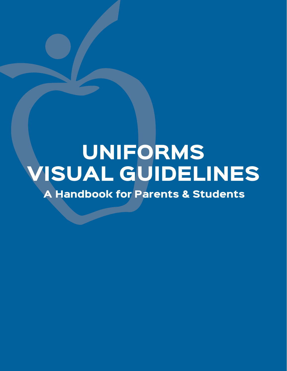# UNIFORMS VISUAL GUIDELINES

A Handbook for Parents & Students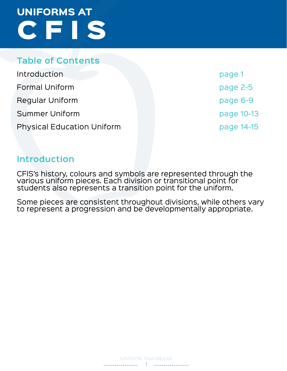### **Table of Contents**

| Introduction                      |
|-----------------------------------|
| <b>Formal Uniform</b>             |
| <b>Regular Uniform</b>            |
| <b>Summer Uniform</b>             |
| <b>Physical Education Uniform</b> |

page 1 page 2-5 page 6-9 page 10-13 page 14-15

### **Introduction**

CFIS's history, colours and symbols are represented through the various uniform pieces. Each division or transitional point for students also represents a transition point for the uniform.

Some pieces are consistent throughout divisions, while others vary to represent a progression and be developmentally appropriate.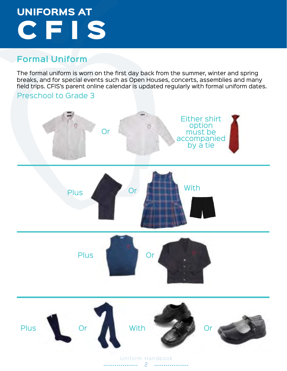### **Formal Uniform**

The formal uniform is worn on the first day back from the summer, winter and spring breaks, and for special events such as Open Houses, concerts, assemblies and many field trips. CFIS's parent online calendar is updated regularly with formal uniform dates.

# Preschool to Grade 3 Or Either shirt option must be accompanied by a tie Plus Or Or With Plus I Or Plus Or Mith With Or

Uniform Handbook 2 . . . . . . . . . . . .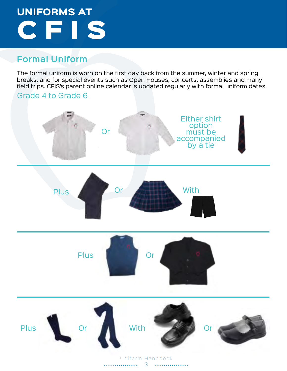### **Formal Uniform**

The formal uniform is worn on the first day back from the summer, winter and spring breaks, and for special events such as Open Houses, concerts, assemblies and many field trips. CFIS's parent online calendar is updated regularly with formal uniform dates.

# Grade 4 to Grade 6 Or Either shirt option must be accompanied by a tie Plus Or With Plus I Or Plus Or Mith With Or

Uniform Handbook . . . . . . . . . . . . . . . . 3 . . . . . . . . . . . .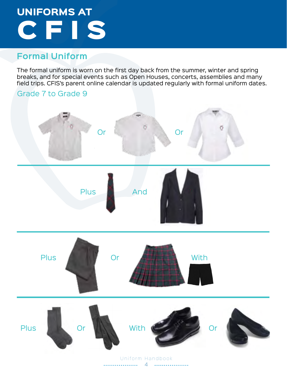### **Formal Uniform**

The formal uniform is worn on the first day back from the summer, winter and spring breaks, and for special events such as Open Houses, concerts, assemblies and many field trips. CFIS's parent online calendar is updated regularly with formal uniform dates.

### Grade 7 to Grade 9

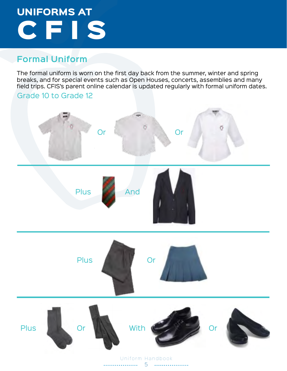### **Formal Uniform**

The formal uniform is worn on the first day back from the summer, winter and spring breaks, and for special events such as Open Houses, concerts, assemblies and many field trips. CFIS's parent online calendar is updated regularly with formal uniform dates.

#### Grade 10 to Grade 12

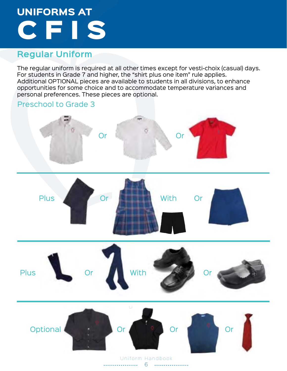### **Regular Uniform**

The regular uniform is required at all other times except for vesti-choix (casual) days. For students in Grade 7 and higher, the "shirt plus one item" rule applies. Additional OPTIONAL pieces are available to students in all divisions, to enhance opportunities for some choice and to accommodate temperature variances and personal preferences. These pieces are optional.

#### Preschool to Grade 3

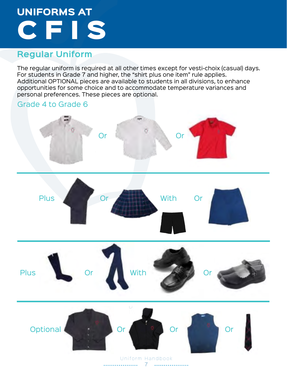### **Regular Uniform**

The regular uniform is required at all other times except for vesti-choix (casual) days. For students in Grade 7 and higher, the "shirt plus one item" rule applies. Additional OPTIONAL pieces are available to students in all divisions, to enhance opportunities for some choice and to accommodate temperature variances and personal preferences. These pieces are optional.

# Grade 4 to Grade 6 Or Plus Or Plus Or With Assembly Or Or With Or Optional **Or Or Or Or Or** Or

7 Uniform Handbook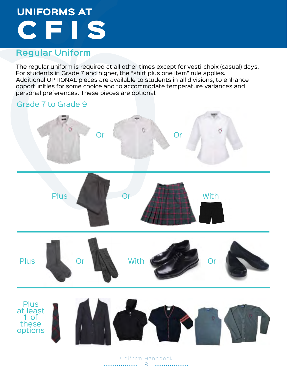### **Regular Uniform**

The regular uniform is required at all other times except for vesti-choix (casual) days. For students in Grade 7 and higher, the "shirt plus one item" rule applies. Additional OPTIONAL pieces are available to students in all divisions, to enhance opportunities for some choice and to accommodate temperature variances and personal preferences. These pieces are optional.

# Grade 7 to Grade 9 Ö Or Or Plus Or Attraction With Plus Or With Corporation or Plus at least 1 of these options

Uniform Handbook 8 . . . . . . . . . . . . . .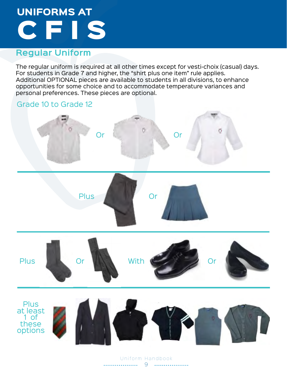### **Regular Uniform**

The regular uniform is required at all other times except for vesti-choix (casual) days. For students in Grade 7 and higher, the "shirt plus one item" rule applies. Additional OPTIONAL pieces are available to students in all divisions, to enhance opportunities for some choice and to accommodate temperature variances and personal preferences. These pieces are optional.

#### Grade 10 to Grade 12











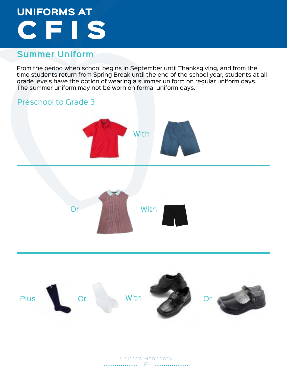### **Summer Uniform**

From the period when school begins in September until Thanksgiving, and from the time students return from Spring Break until the end of the school year, students at all grade levels have the option of wearing a summer uniform on regular uniform days. The summer uniform may not be worn on formal uniform days.



10 Uniform Handbook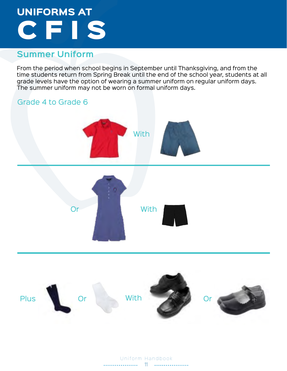### **Summer Uniform**

From the period when school begins in September until Thanksgiving, and from the time students return from Spring Break until the end of the school year, students at all grade levels have the option of wearing a summer uniform on regular uniform days. The summer uniform may not be worn on formal uniform days.



Uniform Handbook . . . . . . . . . . . . . . . 11 . . . . . . . . . . . . . . . . . .

Plus Or With  $\sim$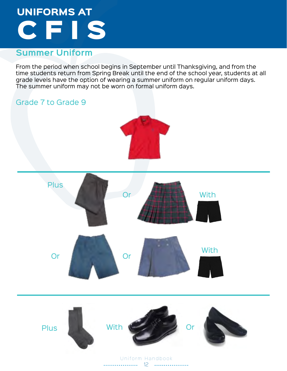### **Summer Uniform**

From the period when school begins in September until Thanksgiving, and from the time students return from Spring Break until the end of the school year, students at all grade levels have the option of wearing a summer uniform on regular uniform days. The summer uniform may not be worn on formal uniform days.

### Grade 7 to Grade 9





Uniform Handbook 12 . . . . . . . . . . . . . .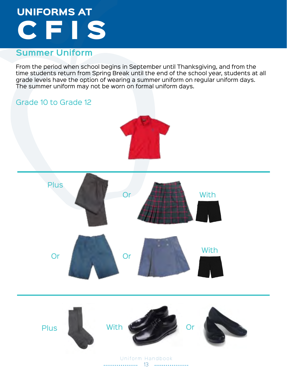### **Summer Uniform**

From the period when school begins in September until Thanksgiving, and from the time students return from Spring Break until the end of the school year, students at all grade levels have the option of wearing a summer uniform on regular uniform days. The summer uniform may not be worn on formal uniform days.

### Grade 10 to Grade 12





Uniform Handbook 13 . . . . . . . . . . . . . .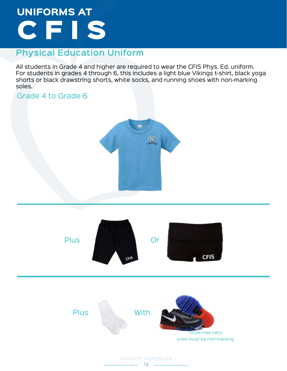### **Physical Education Uniform**

All students in Grade 4 and higher are required to wear the CFIS Phys. Ed. uniform. For students in grades 4 through 6, this includes a light blue Vikings t-shirt, black yoga shorts or black drawstring shorts, white socks, and running shoes with non-marking soles.

### Grade 4 to Grade 6





Uniform Handbook  $14$ . . . . . . . . . . . . . .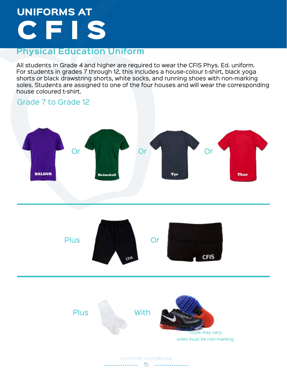### **Physical Education Uniform**

All students in Grade 4 and higher are required to wear the CFIS Phys. Ed. uniform. For students in grades 7 through 12, this includes a house-colour t-shirt, black yoga shorts or black drawstring shorts, white socks, and running shoes with non-marking soles. Students are assigned to one of the four houses and will wear the corresponding house coloured t-shirt.

### Grade 7 to Grade 12